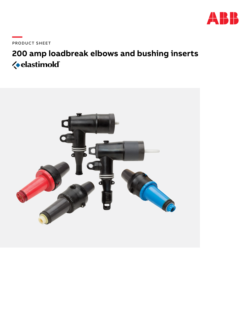

PRODUCT SHEET

# 200 amp loadbreak elbows and bushing inserts *<u></u>* elastimold